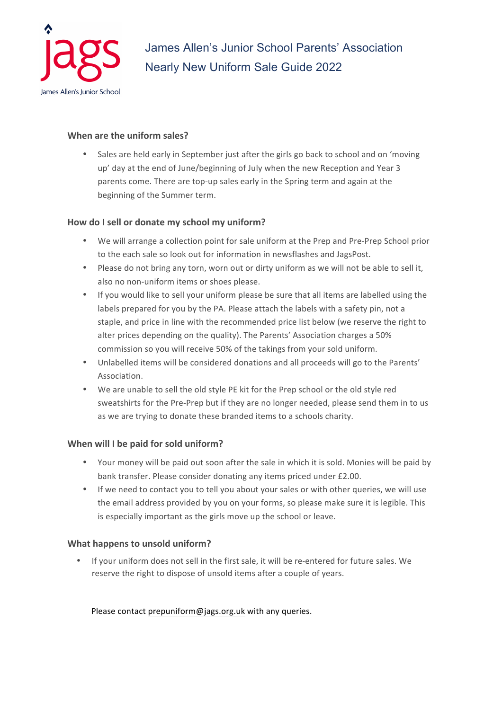

# **When are the uniform sales?**

Sales are held early in September just after the girls go back to school and on 'moving up' day at the end of June/beginning of July when the new Reception and Year 3 parents come. There are top-up sales early in the Spring term and again at the beginning of the Summer term.

# How do I sell or donate my school my uniform?

- We will arrange a collection point for sale uniform at the Prep and Pre-Prep School prior to the each sale so look out for information in newsflashes and JagsPost.
- Please do not bring any torn, worn out or dirty uniform as we will not be able to sell it, also no non-uniform items or shoes please.
- If you would like to sell your uniform please be sure that all items are labelled using the labels prepared for you by the PA. Please attach the labels with a safety pin, not a staple, and price in line with the recommended price list below (we reserve the right to alter prices depending on the quality). The Parents' Association charges a 50% commission so you will receive 50% of the takings from your sold uniform.
- Unlabelled items will be considered donations and all proceeds will go to the Parents' Association.
- We are unable to sell the old style PE kit for the Prep school or the old style red sweatshirts for the Pre-Prep but if they are no longer needed, please send them in to us as we are trying to donate these branded items to a schools charity.

## **When will I be paid for sold uniform?**

- Your money will be paid out soon after the sale in which it is sold. Monies will be paid by bank transfer. Please consider donating any items priced under £2.00.
- If we need to contact you to tell you about your sales or with other queries, we will use the email address provided by you on your forms, so please make sure it is legible. This is especially important as the girls move up the school or leave.

## **What happens to unsold uniform?**

• If your uniform does not sell in the first sale, it will be re-entered for future sales. We reserve the right to dispose of unsold items after a couple of years.

Please contact prepuniform@jags.org.uk with any queries.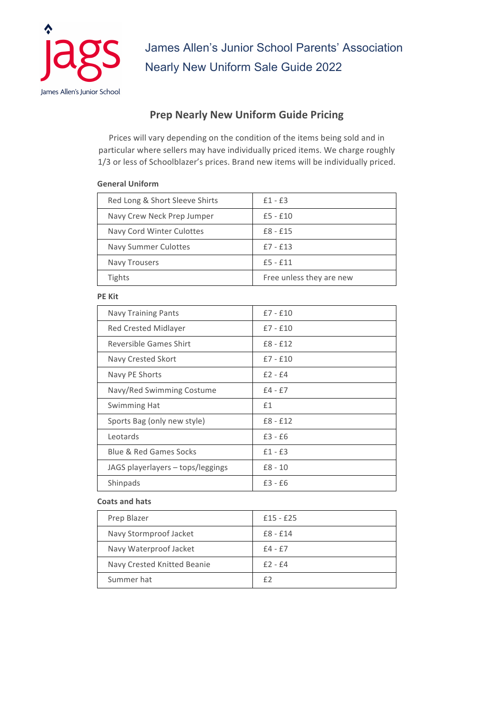

# **Prep Nearly New Uniform Guide Pricing**

Prices will vary depending on the condition of the items being sold and in particular where sellers may have individually priced items. We charge roughly 1/3 or less of Schoolblazer's prices. Brand new items will be individually priced.

## **General Uniform**

| Red Long & Short Sleeve Shirts | $£1 - £3$                |
|--------------------------------|--------------------------|
| Navy Crew Neck Prep Jumper     | $£5 - £10$               |
| Navy Cord Winter Culottes      | $£8 - £15$               |
| <b>Navy Summer Culottes</b>    | $£7 - £13$               |
| <b>Navy Trousers</b>           | $£5 - £11$               |
| <b>Tights</b>                  | Free unless they are new |

#### **PE** Kit

| Navy Training Pants               | $£7 - £10$ |
|-----------------------------------|------------|
| <b>Red Crested Midlayer</b>       | $£7 - £10$ |
| Reversible Games Shirt            | $£8 - £12$ |
| Navy Crested Skort                | $f7 - f10$ |
| Navy PE Shorts                    | $f2 - f4$  |
| Navy/Red Swimming Costume         | $f4 - f7$  |
| Swimming Hat                      | f1         |
| Sports Bag (only new style)       | $£8 - £12$ |
| Leotards                          | $£3 - £6$  |
| <b>Blue &amp; Red Games Socks</b> | $£1 - £3$  |
| JAGS playerlayers – tops/leggings | $£8 - 10$  |
| Shinpads                          | $£3 - £6$  |

#### **Coats and hats**

| Prep Blazer                 | $£15 - £25$ |
|-----------------------------|-------------|
| Navy Stormproof Jacket      | $£8 - £14$  |
| Navy Waterproof Jacket      | $£4 - £7$   |
| Navy Crested Knitted Beanie | $f2 - f4$   |
| Summer hat                  | f2          |